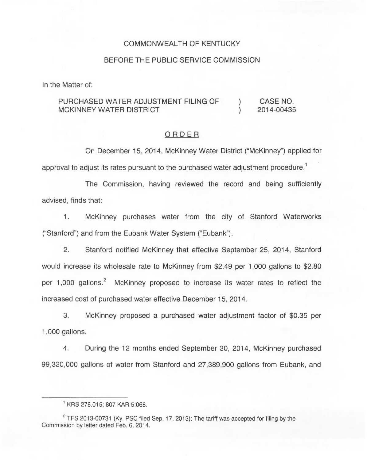### COMMONWEALTH OF KENTUCKY

### BEFORE THE PUBLIC SERVICE COMMISSION

In the Matter of:

#### PURCHASED WATER ADJUSTMENT FILING OF MCKINNEY WATER DISTRICT ) CASE NO. ) 2014-00435

### ORDER

On December 15, 2014, McKinney Water District ("McKinney") applied for approval to adjust its rates pursuant to the purchased water adjustment procedure.<sup>1</sup>

The Commission, having reviewed the record and being sufficiently advised, finds that:

McKinney purchases water from the city of Stanford Waterworks  $1.$ ("Stanford") and from the Eubank Water System ("Eubank").

2. Stanford notified McKinney that effective September 25, 2014, Stanford would increase its wholesale rate to McKinney from \$2.49 per 1,000 gallons to \$2.80 per 1,000 gallons.<sup>2</sup> McKinney proposed to increase its water rates to reflect the increased cost of purchased water effective December 15, 2014.

 $3.$ McKinney proposed a purchased water adjustment factor of \$0.35 per 1,000 gallons.

4. During the 12 months ended September 30, 2014, McKinney purchased 99,320,000 gallons of water from Stanford and 27,389,900 gallons from Eubank, and

<sup>&</sup>lt;sup>1</sup> KRS 278.015; 807 KAR 5:068.

 $2$  TFS 2013-00731 (Ky. PSC filed Sep. 17, 2013); The tariff was accepted for filing by the Commission by letter dated Feb. 6, 2014.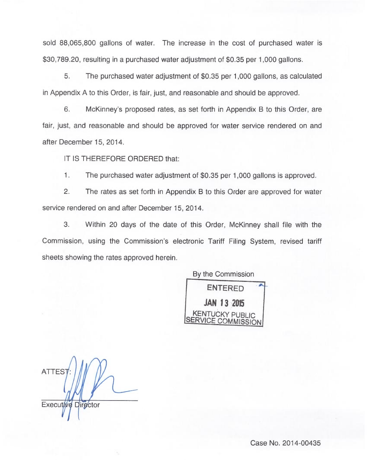sold 88,065,800 gallons of water. The increase in the cost of purchased water is \$30,789.20, resulting in a purchased water adjustment of \$0.35 per 1,000 gallons.

5. The purchased water adjustment of \$0.35 per 1,000 gallons, as calculated in Appendix A to this Order, is fair, just, and reasonable and should be approved.

6. McKinney's proposed rates, as set forth in Appendix B to this Order, are fair, just, and reasonable and should be approved for water service rendered on and after December 15, 2014.

IT IS THEREFORE ORDERED that:

 $1.$ The purchased water adjustment of \$0.35 per 1,000 gallons is approved.

2. The rates as set forth in Appendix B to this Order are approved for water service rendered on and after December 15, 2014.

3. Within 20 days of the date of this Order, McKinney shall file with the Commission, using the Commission's electronic Tariff Filing System, revised tariff sheets showing the rates approved herein.

> By the Commission ENTERED

JAN 13 2015 KENTUCKY PUBLIC VICE COMMISSION

**ATTES** Executive Director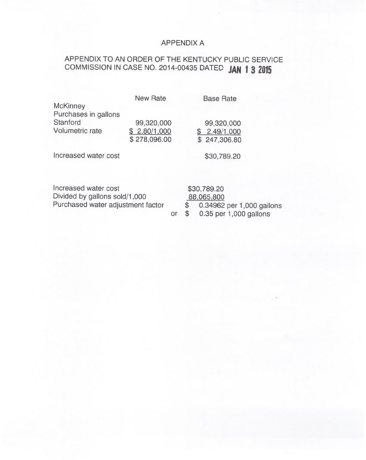## APPENDIX A

# APPENDIX TO AN ORDER OF THE KENTUCKY PUBLIC SERVICE COMMISSION IN CASE NO. 2014-00435 DATED JAN 1 3 2015

| <b>McKinney</b>                                                                            | <b>New Rate</b>                            |    | <b>Base Rate</b>                                                                            |
|--------------------------------------------------------------------------------------------|--------------------------------------------|----|---------------------------------------------------------------------------------------------|
| Purchases in gallons<br>Stanford<br>Volumetric rate                                        | 99,320,000<br>\$2.80/1,000<br>\$278,096.00 |    | 99,320,000<br>\$2.49/1,000<br>\$247,306.80                                                  |
| Increased water cost                                                                       |                                            |    | \$30,789.20                                                                                 |
| Increased water cost<br>Divided by gallons sold/1,000<br>Purchased water adjustment factor |                                            | or | \$30,789.20<br>88,065,800<br>\$<br>0.34962 per 1,000 gallon<br>\$<br>0.35 per 1,000 gallons |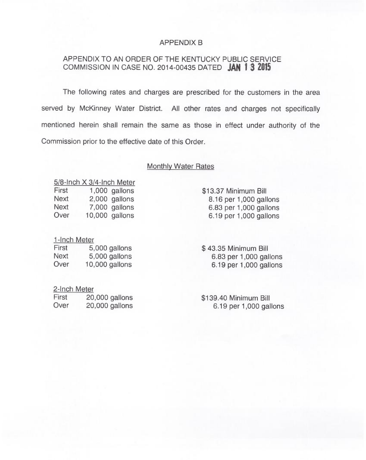### APPENDIX B

### APPENDIX TO AN ORDER OF THE KENTUCKY PUBLIC SERVICE COMMISSION IN CASE NO. 2014-00435 DATED **JAN 1 3 2015**

The following rates and charges are prescribed for the customers in the area served by McKinney Water District. All other rates and charges not specifically mentioned herein shall remain the same as those in effect under authority of the Commission prior to the effective date of this Order.

### Monthlv Water Rates

 $\frac{5}{8}$ -Inch X 3/4-Inch Meter<br>First 1.000 gallons First 1,000 gallons<br>Next 2,000 gallons Next 2,000 gallons<br>Next 7.000 gallons  $7,000$  gallons Over 10,000 gallons

### 1-Inch Meter

First 5,000 gallons<br>Next 5,000 gallons Next 5,000 gallons<br>Over 10.000 gallons  $10,000$  gallons

2-Inch Meter

| First | 20,000 gallons |
|-------|----------------|
| Over  | 20,000 gallons |

\$13.37Minimum Bill 8.16 per 1,000 gallons 6.83 per 1,000 gallons  $6.19$  per 1,000 gallons

\$ 43.35 Minimum Bill 6.83 per 1,000 gallons  $6.19$  per 1,000 gallons

\$139.40 Minimum Bill  $6.19$  per 1,000 gallons